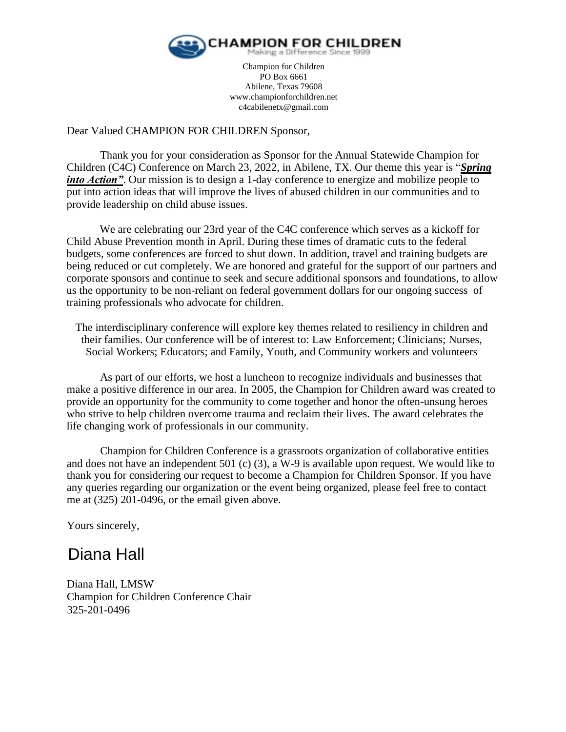

Champion for Children PO Box 6661 Abilene, Texas 79608 www.championforchildren.net c4cabilenetx@gmail.com

# Dear Valued CHAMPION FOR CHILDREN Sponsor,

Thank you for your consideration as Sponsor for the Annual Statewide Champion for Children (C4C) Conference on March 23, 2022, in Abilene, TX. Our theme this year is "*Spring into Action*". Our mission is to design a 1-day conference to energize and mobilize people to put into action ideas that will improve the lives of abused children in our communities and to provide leadership on child abuse issues.

We are celebrating our 23rd year of the C4C conference which serves as a kickoff for Child Abuse Prevention month in April. During these times of dramatic cuts to the federal budgets, some conferences are forced to shut down. In addition, travel and training budgets are being reduced or cut completely. We are honored and grateful for the support of our partners and corporate sponsors and continue to seek and secure additional sponsors and foundations, to allow us the opportunity to be non-reliant on federal government dollars for our ongoing success of training professionals who advocate for children.

The interdisciplinary conference will explore key themes related to resiliency in children and their families. Our conference will be of interest to: Law Enforcement; Clinicians; Nurses, Social Workers; Educators; and Family, Youth, and Community workers and volunteers

As part of our efforts, we host a luncheon to recognize individuals and businesses that make a positive difference in our area. In 2005, the Champion for Children award was created to provide an opportunity for the community to come together and honor the often-unsung heroes who strive to help children overcome trauma and reclaim their lives. The award celebrates the life changing work of professionals in our community.

Champion for Children Conference is a grassroots organization of collaborative entities and does not have an independent 501 (c) (3), a W-9 is available upon request. We would like to thank you for considering our request to become a Champion for Children Sponsor. If you have any queries regarding our organization or the event being organized, please feel free to contact me at (325) 201-0496, or the email given above.

Yours sincerely,

# Diana Hall

Diana Hall, LMSW Champion for Children Conference Chair 325-201-0496